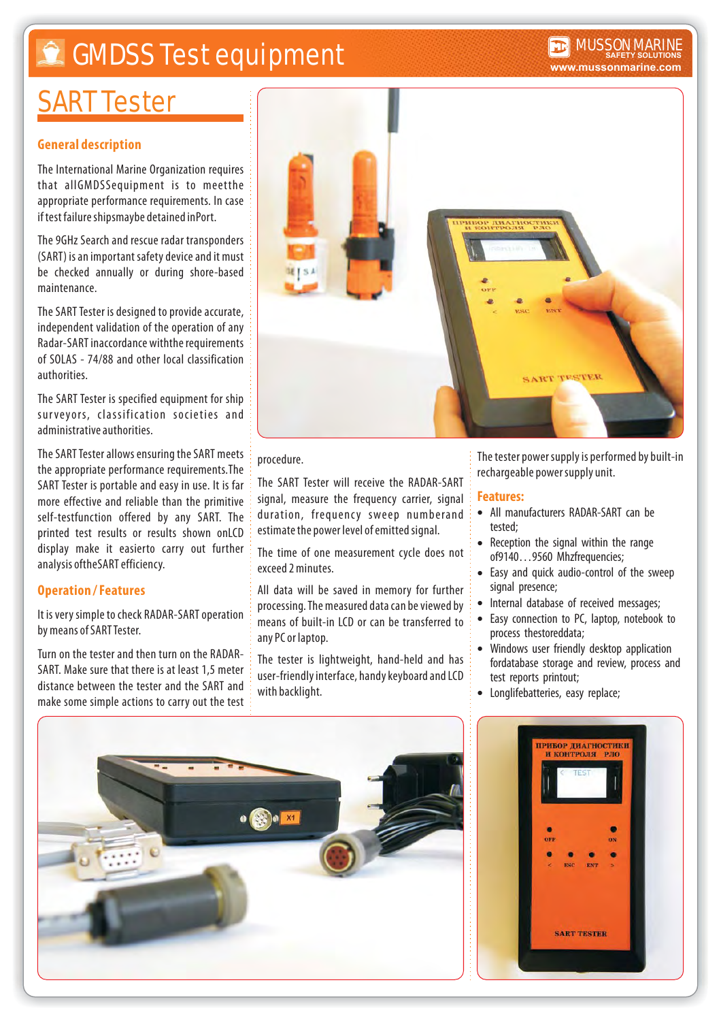# **C** GMDSS Test equipment

## SART Tester

### **General description**

The International Marine Organization requires that allGMDSSequipment is to meetthe appropriate performance requirements. In case if test failure shipsmaybe detained inPort.

The 9GHz Search and rescue radar transponders (SART) is an important safety device and it must be checked annually or during shore-based maintenance.

The SART Tester is designed to provide accurate, independent validation of the operation of any Radar-SART inaccordance withthe requirements of SOLAS - 74/88 and other local classification authorities.

The SART Tester is specified equipment for ship surveyors, classification societies and administrative authorities.

The SART Tester allows ensuring the SART meets the appropriate performance requirements.The SART Tester is portable and easy in use. It is far more effective and reliable than the primitive self-testfunction offered by any SART. The printed test results or results shown onLCD display make it easierto carry out further analysis oftheSART efficiency.

### **Operation / Features**

It is very simple to check RADAR-SART operation by means of SART Tester.

Turn on the tester and then turn on the RADAR-SART. Make sure that there is at least 1,5 meter distance between the tester and the SART and make some simple actions to carry out the test



#### procedure.

The SART Tester will receive the RADAR-SART signal, measure the frequency carrier, signal duration, frequency sweep numberand estimate the power level of emitted signal.

The time of one measurement cycle does not exceed 2 minutes.

All data will be saved in memory for further processing. The measured data can be viewed by means of built-in LCD or can be transferred to any PC or laptop.

The tester is lightweight, hand-held and has user-friendly interface, handy keyboard and LCD with backlight.

The tester power supply is performed by built-in rechargeable power supply unit.

**www.mussonmarine.com** MUSSON MARINE **SAFETY SOLUTIONS**

#### **Features:**

- All manufacturers RADAR-SART can be tested;
- Reception the signal within the range of9140…9560 Mhzfrequencies;  $\bullet$
- Easy and quick audio-control of the sweep signal presence;  $\bullet$
- Internal database of received messages;  $\bullet$
- Easy connection to PC, laptop, notebook to process thestoreddata;  $\bullet$
- Windows user friendly desktop application fordatabase storage and review, process and test reports printout;  $\bullet$
- Longlifebatteries, easy replace;  $\bullet$